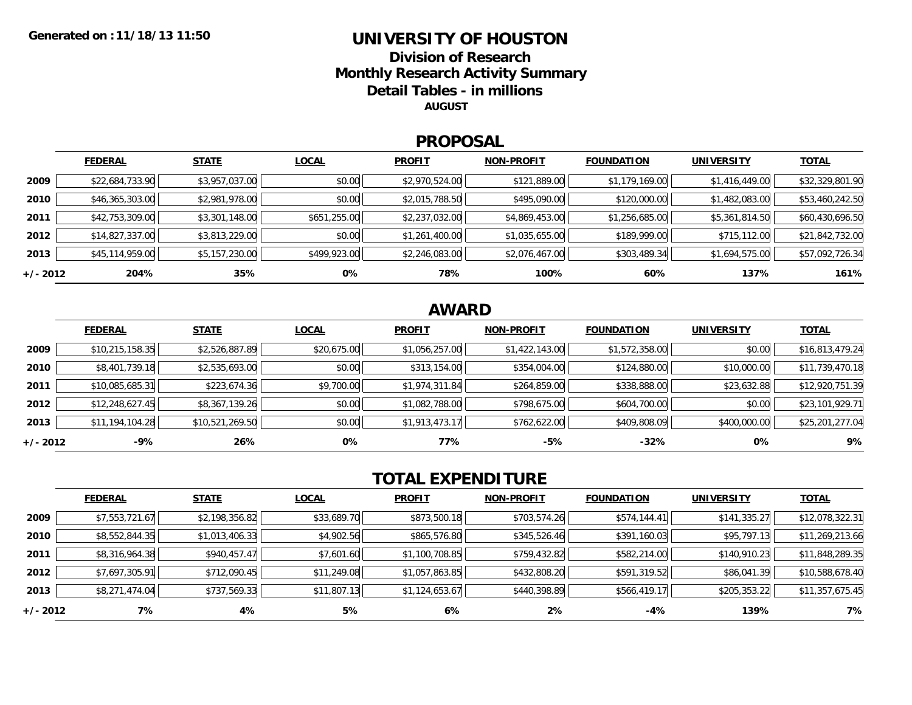#### **UNIVERSITY OF HOUSTONDivision of ResearchMonthly Research Activity Summary Detail Tables - in millions**

**AUGUST**

#### **PROPOSAL**

|            | <b>FEDERAL</b>  | <b>STATE</b>   | <b>LOCAL</b> | <b>PROFIT</b>  | <b>NON-PROFIT</b> | <b>FOUNDATION</b> | <b>UNIVERSITY</b> | <b>TOTAL</b>    |
|------------|-----------------|----------------|--------------|----------------|-------------------|-------------------|-------------------|-----------------|
| 2009       | \$22,684,733.90 | \$3,957,037.00 | \$0.00       | \$2,970,524.00 | \$121,889.00      | \$1,179,169.00    | \$1,416,449.00    | \$32,329,801.90 |
| 2010       | \$46,365,303.00 | \$2,981,978.00 | \$0.00       | \$2,015,788.50 | \$495,090.00      | \$120,000.00      | \$1,482,083.00    | \$53,460,242.50 |
| 2011       | \$42,753,309.00 | \$3,301,148.00 | \$651,255.00 | \$2,237,032.00 | \$4,869,453.00    | \$1,256,685.00    | \$5,361,814.50    | \$60,430,696.50 |
| 2012       | \$14,827,337.00 | \$3,813,229.00 | \$0.00       | \$1,261,400.00 | \$1,035,655.00    | \$189,999.00      | \$715,112.00      | \$21,842,732.00 |
| 2013       | \$45,114,959.00 | \$5,157,230.00 | \$499,923.00 | \$2,246,083.00 | \$2,076,467.00    | \$303,489.34      | \$1,694,575.00    | \$57,092,726.34 |
| $+/- 2012$ | 204%            | 35%            | 0%           | 78%            | 100%              | 60%               | 137%              | 161%            |

### **AWARD**

|            | <b>FEDERAL</b>  | <b>STATE</b>    | <b>LOCAL</b> | <b>PROFIT</b>  | <b>NON-PROFIT</b> | <b>FOUNDATION</b> | <b>UNIVERSITY</b> | <b>TOTAL</b>    |
|------------|-----------------|-----------------|--------------|----------------|-------------------|-------------------|-------------------|-----------------|
| 2009       | \$10,215,158.35 | \$2,526,887.89  | \$20,675.00  | \$1,056,257.00 | \$1,422,143.00    | \$1,572,358.00    | \$0.00            | \$16,813,479.24 |
| 2010       | \$8,401,739.18  | \$2,535,693.00  | \$0.00       | \$313,154.00   | \$354,004.00      | \$124,880.00      | \$10,000.00       | \$11,739,470.18 |
| 2011       | \$10,085,685.31 | \$223,674.36    | \$9,700.00   | \$1,974,311.84 | \$264,859.00      | \$338,888.00      | \$23,632.88       | \$12,920,751.39 |
| 2012       | \$12,248,627.45 | \$8,367,139.26  | \$0.00       | \$1,082,788.00 | \$798,675.00      | \$604,700.00      | \$0.00            | \$23,101,929.71 |
| 2013       | \$11,194,104.28 | \$10,521,269.50 | \$0.00       | \$1,913,473.17 | \$762,622.00      | \$409,808.09      | \$400,000.00      | \$25,201,277.04 |
| $+/- 2012$ | -9%             | 26%             | 0%           | 77%            | $-5%$             | $-32%$            | 0%                | 9%              |

## **TOTAL EXPENDITURE**

|          | <b>FEDERAL</b> | <b>STATE</b>   | <b>LOCAL</b> | <b>PROFIT</b>  | <b>NON-PROFIT</b> | <b>FOUNDATION</b> | <b>UNIVERSITY</b> | <b>TOTAL</b>    |
|----------|----------------|----------------|--------------|----------------|-------------------|-------------------|-------------------|-----------------|
| 2009     | \$7,553,721.67 | \$2,198,356.82 | \$33,689.70  | \$873,500.18   | \$703,574.26      | \$574,144.41      | \$141,335.27      | \$12,078,322.31 |
| 2010     | \$8,552,844.35 | \$1,013,406.33 | \$4,902.56   | \$865,576.80   | \$345,526.46      | \$391,160.03      | \$95,797.13       | \$11,269,213.66 |
| 2011     | \$8,316,964.38 | \$940,457.47   | \$7,601.60   | \$1,100,708.85 | \$759,432.82      | \$582,214.00      | \$140,910.23      | \$11,848,289.35 |
| 2012     | \$7,697,305.91 | \$712,090.45   | \$11,249.08  | \$1,057,863.85 | \$432,808.20      | \$591,319.52      | \$86,041.39       | \$10,588,678.40 |
| 2013     | \$8,271,474.04 | \$737,569.33   | \$11,807.13  | \$1,124,653.67 | \$440,398.89      | \$566,419.17      | \$205,353.22      | \$11,357,675.45 |
| +/- 2012 | 7%             | 4%             | 5%           | 6%             | 2%                | -4%               | 139%              | 7%              |